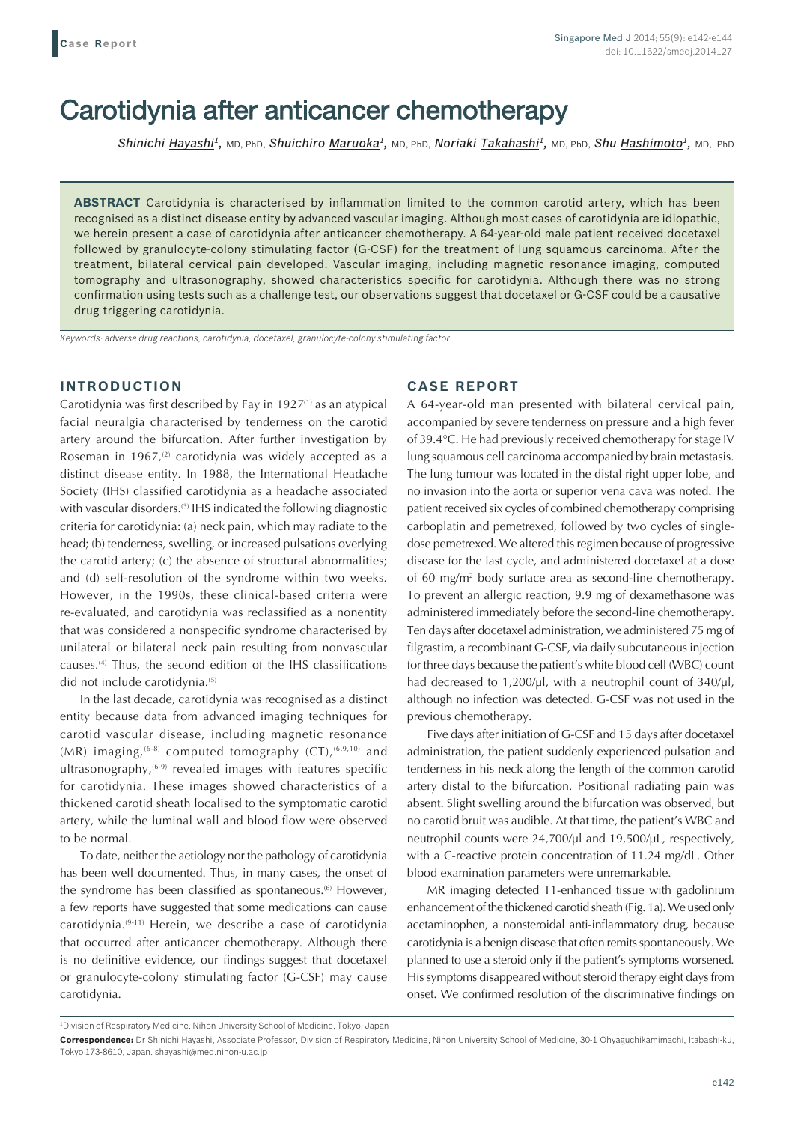# Carotidynia after anticancer chemotherapy

*Shinichi Hayashi1,* MD, PhD, *Shuichiro Maruoka1,* MD, PhD, *Noriaki Takahashi1,* MD, PhD, *Shu Hashimoto1,* MD, PhD

**ABSTRACT** Carotidynia is characterised by inflammation limited to the common carotid artery, which has been recognised as a distinct disease entity by advanced vascular imaging. Although most cases of carotidynia are idiopathic, we herein present a case of carotidynia after anticancer chemotherapy. A 64-year-old male patient received docetaxel followed by granulocyte-colony stimulating factor (G-CSF) for the treatment of lung squamous carcinoma. After the treatment, bilateral cervical pain developed. Vascular imaging, including magnetic resonance imaging, computed tomography and ultrasonography, showed characteristics specific for carotidynia. Although there was no strong confirmation using tests such as a challenge test, our observations suggest that docetaxel or G-CSF could be a causative drug triggering carotidynia.

*Keywords: adverse drug reactions, carotidynia, docetaxel, granulocyte-colony stimulating factor*

## **INTRODUCTION**

Carotidynia was first described by Fay in  $1927<sup>(1)</sup>$  as an atypical facial neuralgia characterised by tenderness on the carotid artery around the bifurcation. After further investigation by Roseman in 1967, $(2)$  carotidynia was widely accepted as a distinct disease entity. In 1988, the International Headache Society (IHS) classified carotidynia as a headache associated with vascular disorders.<sup>(3)</sup> IHS indicated the following diagnostic criteria for carotidynia: (a) neck pain, which may radiate to the head; (b) tenderness, swelling, or increased pulsations overlying the carotid artery; (c) the absence of structural abnormalities; and (d) self-resolution of the syndrome within two weeks. However, in the 1990s, these clinical-based criteria were re-evaluated, and carotidynia was reclassified as a nonentity that was considered a nonspecific syndrome characterised by unilateral or bilateral neck pain resulting from nonvascular causes.(4) Thus, the second edition of the IHS classifications did not include carotidynia.<sup>(5)</sup>

In the last decade, carotidynia was recognised as a distinct entity because data from advanced imaging techniques for carotid vascular disease, including magnetic resonance  $(MR)$  imaging, <sup>(6-8)</sup> computed tomography  $(CT)$ , <sup>(6,9,10)</sup> and ultrasonography,<sup>(6-9)</sup> revealed images with features specific for carotidynia. These images showed characteristics of a thickened carotid sheath localised to the symptomatic carotid artery, while the luminal wall and blood flow were observed to be normal.

To date, neither the aetiology nor the pathology of carotidynia has been well documented. Thus, in many cases, the onset of the syndrome has been classified as spontaneous.<sup>(6)</sup> However, a few reports have suggested that some medications can cause carotidynia.(9-11) Herein, we describe a case of carotidynia that occurred after anticancer chemotherapy. Although there is no definitive evidence, our findings suggest that docetaxel or granulocyte-colony stimulating factor (G-CSF) may cause carotidynia.

### **CASE REPORT**

A 64-year-old man presented with bilateral cervical pain, accompanied by severe tenderness on pressure and a high fever of 39.4°C. He had previously received chemotherapy for stage IV lung squamous cell carcinoma accompanied by brain metastasis. The lung tumour was located in the distal right upper lobe, and no invasion into the aorta or superior vena cava was noted. The patient received six cycles of combined chemotherapy comprising carboplatin and pemetrexed, followed by two cycles of singledose pemetrexed. We altered this regimen because of progressive disease for the last cycle, and administered docetaxel at a dose of 60 mg/m2 body surface area as second-line chemotherapy. To prevent an allergic reaction, 9.9 mg of dexamethasone was administered immediately before the second-line chemotherapy. Ten days after docetaxel administration, we administered 75 mg of filgrastim, a recombinant G-CSF, via daily subcutaneous injection for three days because the patient's white blood cell (WBC) count had decreased to 1,200/µl, with a neutrophil count of 340/µl, although no infection was detected. G-CSF was not used in the previous chemotherapy.

Five days after initiation of G-CSF and 15 days after docetaxel administration, the patient suddenly experienced pulsation and tenderness in his neck along the length of the common carotid artery distal to the bifurcation. Positional radiating pain was absent. Slight swelling around the bifurcation was observed, but no carotid bruit was audible. At that time, the patient's WBC and neutrophil counts were 24,700/µl and 19,500/µL, respectively, with a C-reactive protein concentration of 11.24 mg/dL. Other blood examination parameters were unremarkable.

MR imaging detected T1-enhanced tissue with gadolinium enhancement of the thickened carotid sheath (Fig. 1a). We used only acetaminophen, a nonsteroidal anti-inflammatory drug, because carotidynia is a benign disease that often remits spontaneously. We planned to use a steroid only if the patient's symptoms worsened. His symptoms disappeared without steroid therapy eight days from onset. We confirmed resolution of the discriminative findings on

<sup>1</sup> Division of Respiratory Medicine, Nihon University School of Medicine, Tokyo, Japan

**Correspondence:** Dr Shinichi Hayashi, Associate Professor, Division of Respiratory Medicine, Nihon University School of Medicine, 30-1 Ohyaguchikamimachi, Itabashi-ku, Tokyo 173-8610, Japan. shayashi@med.nihon-u.ac.jp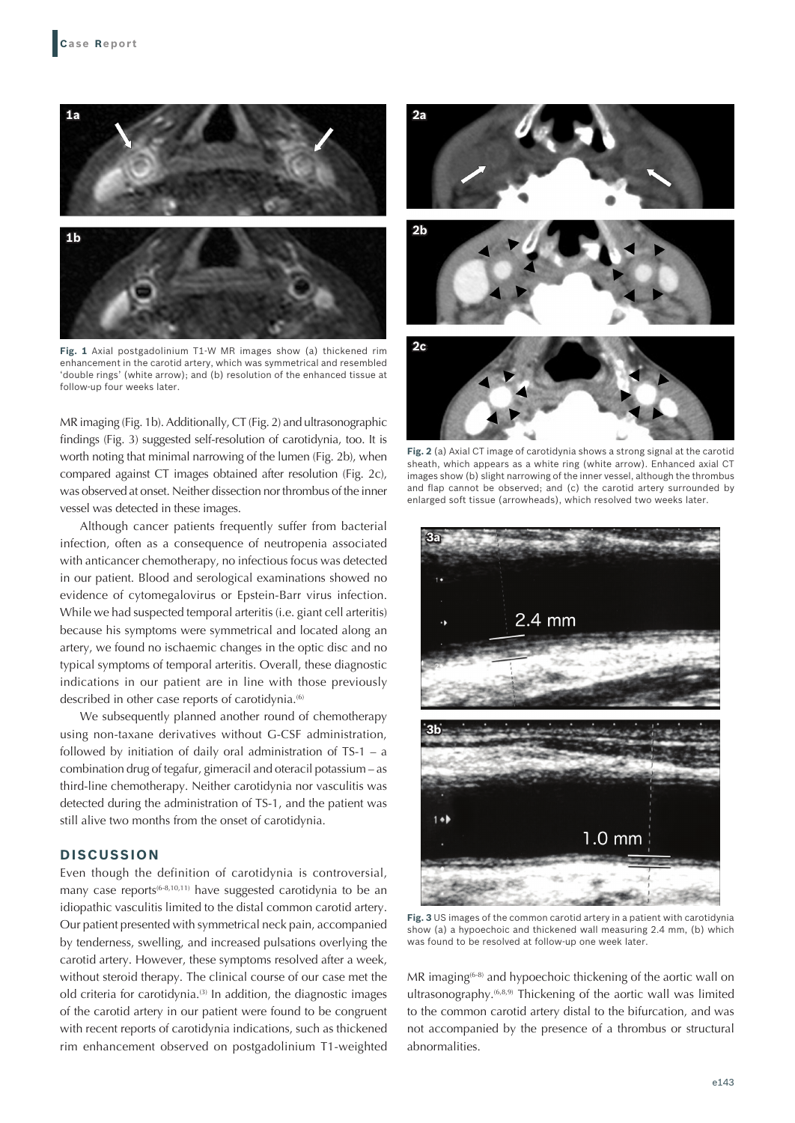

**Fig. 1** Axial postgadolinium T1-W MR images show (a) thickened rim enhancement in the carotid artery, which was symmetrical and resembled 'double rings' (white arrow); and (b) resolution of the enhanced tissue at follow-up four weeks later.

MR imaging (Fig. 1b). Additionally, CT (Fig. 2) and ultrasonographic findings (Fig. 3) suggested self-resolution of carotidynia, too. It is worth noting that minimal narrowing of the lumen (Fig. 2b), when compared against CT images obtained after resolution (Fig. 2c), was observed at onset. Neither dissection nor thrombus of the inner vessel was detected in these images.

Although cancer patients frequently suffer from bacterial infection, often as a consequence of neutropenia associated with anticancer chemotherapy, no infectious focus was detected in our patient. Blood and serological examinations showed no evidence of cytomegalovirus or Epstein-Barr virus infection. While we had suspected temporal arteritis (i.e. giant cell arteritis) because his symptoms were symmetrical and located along an artery, we found no ischaemic changes in the optic disc and no typical symptoms of temporal arteritis. Overall, these diagnostic indications in our patient are in line with those previously described in other case reports of carotidynia.<sup>(6)</sup>

We subsequently planned another round of chemotherapy using non-taxane derivatives without G-CSF administration, followed by initiation of daily oral administration of TS-1 – a combination drug of tegafur, gimeracil and oteracil potassium – as third-line chemotherapy. Neither carotidynia nor vasculitis was detected during the administration of TS-1, and the patient was still alive two months from the onset of carotidynia.

## **DISCUSSION**

Even though the definition of carotidynia is controversial, many case reports<sup>(6-8,10,11)</sup> have suggested carotidynia to be an idiopathic vasculitis limited to the distal common carotid artery. Our patient presented with symmetrical neck pain, accompanied by tenderness, swelling, and increased pulsations overlying the carotid artery. However, these symptoms resolved after a week, without steroid therapy. The clinical course of our case met the old criteria for carotidynia.(3) In addition, the diagnostic images of the carotid artery in our patient were found to be congruent with recent reports of carotidynia indications, such as thickened rim enhancement observed on postgadolinium T1-weighted



**Fig. 2** (a) Axial CT image of carotidynia shows a strong signal at the carotid sheath, which appears as a white ring (white arrow). Enhanced axial CT images show (b) slight narrowing of the inner vessel, although the thrombus and flap cannot be observed; and (c) the carotid artery surrounded by enlarged soft tissue (arrowheads), which resolved two weeks later.



**Fig. 3** US images of the common carotid artery in a patient with carotidynia show (a) a hypoechoic and thickened wall measuring 2.4 mm, (b) which was found to be resolved at follow-up one week later.

MR imaging<sup>(6-8)</sup> and hypoechoic thickening of the aortic wall on ultrasonography.(6,8,9) Thickening of the aortic wall was limited to the common carotid artery distal to the bifurcation, and was not accompanied by the presence of a thrombus or structural abnormalities.